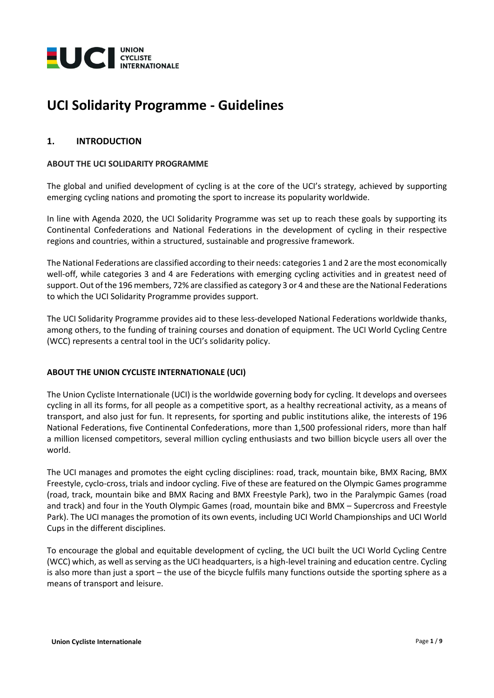

# **UCI Solidarity Programme - Guidelines**

## **1. INTRODUCTION**

#### **ABOUT THE UCI SOLIDARITY PROGRAMME**

The global and unified development of cycling is at the core of the UCI's strategy, achieved by supporting emerging cycling nations and promoting the sport to increase its popularity worldwide.

In line with Agenda 2020, the UCI Solidarity Programme was set up to reach these goals by supporting its Continental Confederations and National Federations in the development of cycling in their respective regions and countries, within a structured, sustainable and progressive framework.

The National Federations are classified according to their needs: categories 1 and 2 are the most economically well-off, while categories 3 and 4 are Federations with emerging cycling activities and in greatest need of support. Out of the 196 members, 72% are classified as category 3 or 4 and these are the National Federations to which the UCI Solidarity Programme provides support.

The UCI Solidarity Programme provides aid to these less-developed National Federations worldwide thanks, among others, to the funding of training courses and donation of equipment. The UCI World Cycling Centre (WCC) represents a central tool in the UCI's solidarity policy.

### **ABOUT THE UNION CYCLISTE INTERNATIONALE (UCI)**

The Union Cycliste Internationale (UCI) is the worldwide governing body for cycling. It develops and oversees cycling in all its forms, for all people as a competitive sport, as a healthy recreational activity, as a means of transport, and also just for fun. It represents, for sporting and public institutions alike, the interests of 196 National Federations, five Continental Confederations, more than 1,500 professional riders, more than half a million licensed competitors, several million cycling enthusiasts and two billion bicycle users all over the world.

The UCI manages and promotes the eight cycling disciplines: road, track, mountain bike, BMX Racing, BMX Freestyle, cyclo-cross, trials and indoor cycling. Five of these are featured on the Olympic Games programme (road, track, mountain bike and BMX Racing and BMX Freestyle Park), two in the Paralympic Games (road and track) and four in the Youth Olympic Games (road, mountain bike and BMX – Supercross and Freestyle Park). The UCI manages the promotion of its own events, including UCI World Championships and UCI World Cups in the different disciplines.

To encourage the global and equitable development of cycling, the UCI built the UCI World Cycling Centre (WCC) which, as well as serving as the UCI headquarters, is a high-level training and education centre. Cycling is also more than just a sport – the use of the bicycle fulfils many functions outside the sporting sphere as a means of transport and leisure.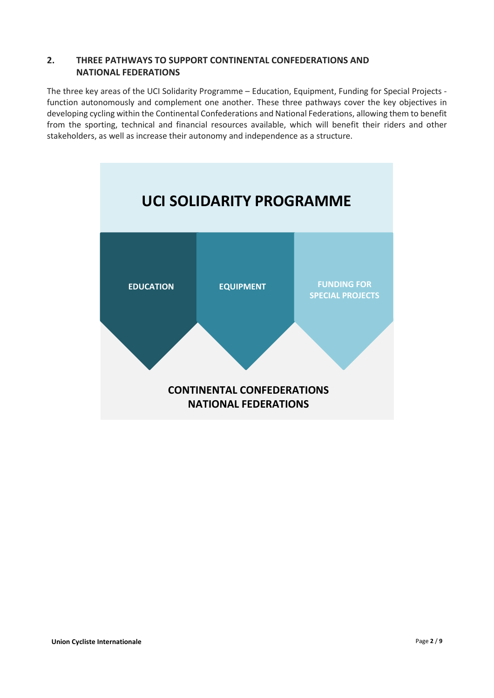## **2. THREE PATHWAYS TO SUPPORT CONTINENTAL CONFEDERATIONS AND NATIONAL FEDERATIONS**

The three key areas of the UCI Solidarity Programme – Education, Equipment, Funding for Special Projects function autonomously and complement one another. These three pathways cover the key objectives in developing cycling within the Continental Confederations and National Federations, allowing them to benefit from the sporting, technical and financial resources available, which will benefit their riders and other stakeholders, as well as increase their autonomy and independence as a structure.

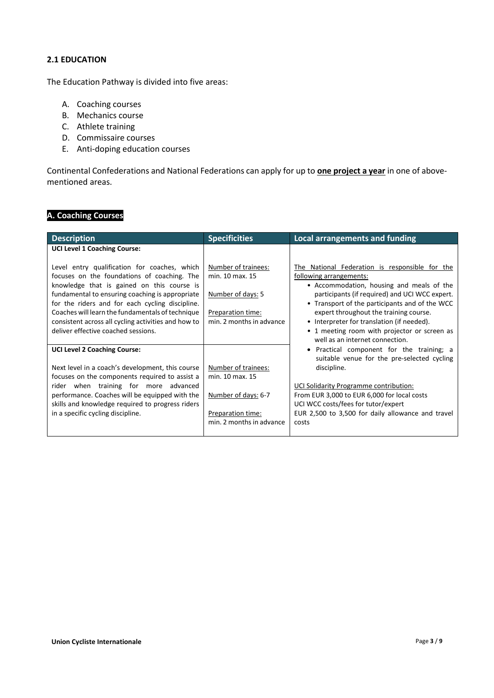## **2.1 EDUCATION**

The Education Pathway is divided into five areas:

- A. Coaching courses
- B. Mechanics course
- C. Athlete training
- D. Commissaire courses
- E. Anti-doping education courses

Continental Confederations and National Federations can apply for up to **one project a year** in one of abovementioned areas.

# **A. Coaching Courses**

| <b>Specificities</b>                                                                                         | <b>Local arrangements and funding</b>                                                                                                                                                                                                                                                                                                                                                                 |
|--------------------------------------------------------------------------------------------------------------|-------------------------------------------------------------------------------------------------------------------------------------------------------------------------------------------------------------------------------------------------------------------------------------------------------------------------------------------------------------------------------------------------------|
|                                                                                                              |                                                                                                                                                                                                                                                                                                                                                                                                       |
| Number of trainees:<br>min. 10 max. 15<br>Number of days: 5<br>Preparation time:<br>min. 2 months in advance | The National Federation is responsible for the<br>following arrangements:<br>• Accommodation, housing and meals of the<br>participants (if required) and UCI WCC expert.<br>• Transport of the participants and of the WCC<br>expert throughout the training course.<br>• Interpreter for translation (if needed).<br>• 1 meeting room with projector or screen as<br>well as an internet connection. |
|                                                                                                              | Practical component for the training; a<br>suitable venue for the pre-selected cycling                                                                                                                                                                                                                                                                                                                |
| Number of trainees:<br>min. 10 max. 15                                                                       | discipline.                                                                                                                                                                                                                                                                                                                                                                                           |
| Number of days: 6-7<br>Preparation time:<br>min. 2 months in advance                                         | UCI Solidarity Programme contribution:<br>From EUR 3,000 to EUR 6,000 for local costs<br>UCI WCC costs/fees for tutor/expert<br>EUR 2,500 to 3,500 for daily allowance and travel<br>costs                                                                                                                                                                                                            |
|                                                                                                              |                                                                                                                                                                                                                                                                                                                                                                                                       |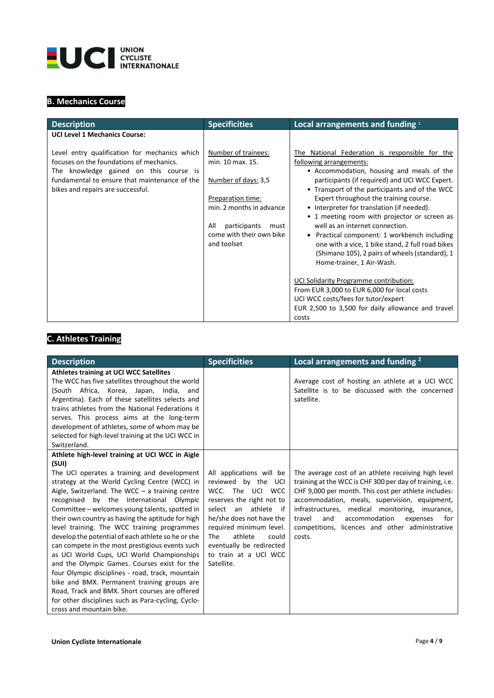

# **B. Mechanics Course**

| <b>Description</b>                                                                                                                                                                                                                                                | <b>Specificities</b>                                                                                                                           | Local arrangements and funding 1                                                                                                                                                                                                                                                                                                                                                                      |
|-------------------------------------------------------------------------------------------------------------------------------------------------------------------------------------------------------------------------------------------------------------------|------------------------------------------------------------------------------------------------------------------------------------------------|-------------------------------------------------------------------------------------------------------------------------------------------------------------------------------------------------------------------------------------------------------------------------------------------------------------------------------------------------------------------------------------------------------|
| <b>UCI Level 1 Mechanics Course:</b><br>Level entry qualification for mechanics which<br>focuses on the foundations of mechanics.<br>The knowledge gained on this course is<br>fundamental to ensure that maintenance of the<br>bikes and repairs are successful. | Number of trainees:<br>min. 10 max. 15.<br>Number of days: 3,5<br>Preparation time:<br>min. 2 months in advance<br>participants<br>All<br>must | The National Federation is responsible for the<br>following arrangements:<br>• Accommodation, housing and meals of the<br>participants (if required) and UCI WCC Expert.<br>• Transport of the participants and of the WCC<br>Expert throughout the training course.<br>• Interpreter for translation (if needed).<br>• 1 meeting room with projector or screen as<br>well as an internet connection. |
|                                                                                                                                                                                                                                                                   | come with their own bike<br>and toolset                                                                                                        | Practical component: 1 workbench including<br>one with a vice, 1 bike stand, 2 full road bikes<br>(Shimano 105), 2 pairs of wheels (standard), 1<br>Home-trainer, 1 Air-Wash.<br>UCI Solidarity Programme contribution:<br>From EUR 3,000 to EUR 6,000 for local costs<br>UCI WCC costs/fees for tutor/expert<br>EUR 2,500 to 3,500 for daily allowance and travel<br>costs                           |

# **C. Athletes Training**

| <b>Description</b>                                                                                                                                                                                                                                                                                                                                                                                                                                                                                                                                                                                                                                                                                                                                                                                                                                           | <b>Specificities</b>                                                                                                                                                                                                                                                             | Local arrangements and funding <sup>2</sup>                                                                                                                                                                                                                                                                                                                                                   |
|--------------------------------------------------------------------------------------------------------------------------------------------------------------------------------------------------------------------------------------------------------------------------------------------------------------------------------------------------------------------------------------------------------------------------------------------------------------------------------------------------------------------------------------------------------------------------------------------------------------------------------------------------------------------------------------------------------------------------------------------------------------------------------------------------------------------------------------------------------------|----------------------------------------------------------------------------------------------------------------------------------------------------------------------------------------------------------------------------------------------------------------------------------|-----------------------------------------------------------------------------------------------------------------------------------------------------------------------------------------------------------------------------------------------------------------------------------------------------------------------------------------------------------------------------------------------|
| <b>Athletes training at UCI WCC Satellites</b><br>The WCC has five satellites throughout the world<br>(South Africa, Korea, Japan, India, and<br>Argentina). Each of these satellites selects and<br>trains athletes from the National Federations it<br>serves. This process aims at the long-term<br>development of athletes, some of whom may be<br>selected for high-level training at the UCI WCC in<br>Switzerland.                                                                                                                                                                                                                                                                                                                                                                                                                                    |                                                                                                                                                                                                                                                                                  | Average cost of hosting an athlete at a UCI WCC<br>Satellite is to be discussed with the concerned<br>satellite.                                                                                                                                                                                                                                                                              |
| Athlete high-level training at UCI WCC in Aigle<br>(SUI)<br>The UCI operates a training and development<br>strategy at the World Cycling Centre (WCC) in<br>Aigle, Switzerland. The WCC $-$ a training centre<br>recognised by the International Olympic<br>Committee - welcomes young talents, spotted in<br>their own country as having the aptitude for high<br>level training. The WCC training programmes<br>develop the potential of each athlete so he or she<br>can compete in the most prestigious events such<br>as UCI World Cups, UCI World Championships<br>and the Olympic Games. Courses exist for the<br>four Olympic disciplines - road, track, mountain<br>bike and BMX. Permanent training groups are<br>Road, Track and BMX. Short courses are offered<br>for other disciplines such as Para-cycling, Cyclo-<br>cross and mountain bike. | All applications will be<br>reviewed by the UCI<br>WCC. The UCI WCC<br>reserves the right not to<br>an athlete if<br>select<br>he/she does not have the<br>required minimum level.<br>athlete<br>could<br>The<br>eventually be redirected<br>to train at a UCI WCC<br>Satellite. | The average cost of an athlete receiving high level<br>training at the WCC is CHF 300 per day of training, i.e.<br>CHF 9,000 per month. This cost per athlete includes:<br>accommodation, meals, supervision, equipment,<br>infrastructures, medical monitoring, insurance,<br>accommodation<br>travel<br>and<br>expenses<br>for<br>competitions, licences and other administrative<br>costs. |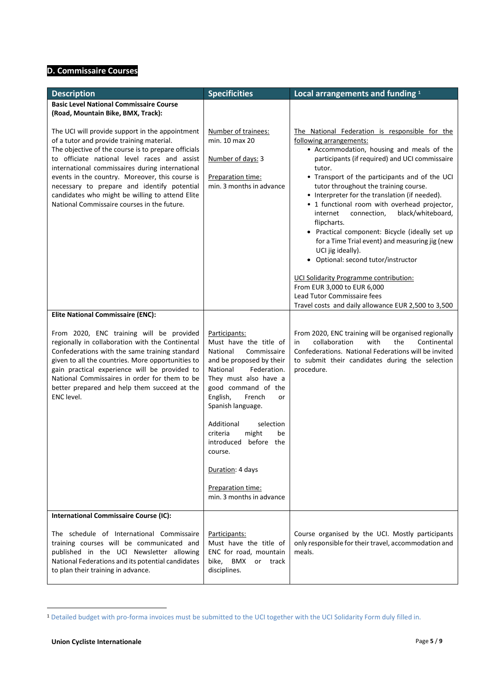## **D. Commissaire Courses**

| <b>Description</b>                                                                                                                                                                                                                                                                                                                                                                                                                                         | <b>Specificities</b>                                                                                                                                                                                                                                                                                                                                                                         | Local arrangements and funding 1                                                                                                                                                                                                                                                                                                                                                                                                                                                                                                                                                                                                                                                                                                                                                         |
|------------------------------------------------------------------------------------------------------------------------------------------------------------------------------------------------------------------------------------------------------------------------------------------------------------------------------------------------------------------------------------------------------------------------------------------------------------|----------------------------------------------------------------------------------------------------------------------------------------------------------------------------------------------------------------------------------------------------------------------------------------------------------------------------------------------------------------------------------------------|------------------------------------------------------------------------------------------------------------------------------------------------------------------------------------------------------------------------------------------------------------------------------------------------------------------------------------------------------------------------------------------------------------------------------------------------------------------------------------------------------------------------------------------------------------------------------------------------------------------------------------------------------------------------------------------------------------------------------------------------------------------------------------------|
| <b>Basic Level National Commissaire Course</b><br>(Road, Mountain Bike, BMX, Track):                                                                                                                                                                                                                                                                                                                                                                       |                                                                                                                                                                                                                                                                                                                                                                                              |                                                                                                                                                                                                                                                                                                                                                                                                                                                                                                                                                                                                                                                                                                                                                                                          |
| The UCI will provide support in the appointment<br>of a tutor and provide training material.<br>The objective of the course is to prepare officials<br>to officiate national level races and assist<br>international commissaires during international<br>events in the country. Moreover, this course is<br>necessary to prepare and identify potential<br>candidates who might be willing to attend Elite<br>National Commissaire courses in the future. | Number of trainees:<br>min. 10 max 20<br>Number of days: 3<br>Preparation time:<br>min. 3 months in advance                                                                                                                                                                                                                                                                                  | The National Federation is responsible for the<br>following arrangements:<br>• Accommodation, housing and meals of the<br>participants (if required) and UCI commissaire<br>tutor.<br>• Transport of the participants and of the UCI<br>tutor throughout the training course.<br>• Interpreter for the translation (if needed).<br>• 1 functional room with overhead projector,<br>black/whiteboard,<br>internet<br>connection,<br>flipcharts.<br>• Practical component: Bicycle (ideally set up<br>for a Time Trial event) and measuring jig (new<br>UCI jig ideally).<br>Optional: second tutor/instructor<br>$\bullet$<br>UCI Solidarity Programme contribution:<br>From EUR 3,000 to EUR 6,000<br>Lead Tutor Commissaire fees<br>Travel costs and daily allowance EUR 2,500 to 3,500 |
| <b>Elite National Commissaire (ENC):</b>                                                                                                                                                                                                                                                                                                                                                                                                                   |                                                                                                                                                                                                                                                                                                                                                                                              |                                                                                                                                                                                                                                                                                                                                                                                                                                                                                                                                                                                                                                                                                                                                                                                          |
| From 2020, ENC training will be provided<br>regionally in collaboration with the Continental<br>Confederations with the same training standard<br>given to all the countries. More opportunities to<br>gain practical experience will be provided to<br>National Commissaires in order for them to be<br>better prepared and help them succeed at the<br>ENC level.                                                                                        | Participants:<br>Must have the title of<br>National<br>Commissaire<br>and be proposed by their<br>Federation.<br>National<br>They must also have a<br>good command of the<br>English,<br>French<br>or<br>Spanish language.<br>Additional<br>selection<br>criteria<br>might<br>be<br>before the<br>introduced<br>course.<br>Duration: 4 days<br>Preparation time:<br>min. 3 months in advance | From 2020, ENC training will be organised regionally<br>collaboration<br>with<br>the<br>Continental<br>in<br>Confederations. National Federations will be invited<br>to submit their candidates during the selection<br>procedure.                                                                                                                                                                                                                                                                                                                                                                                                                                                                                                                                                       |
| <b>International Commissaire Course (IC):</b>                                                                                                                                                                                                                                                                                                                                                                                                              |                                                                                                                                                                                                                                                                                                                                                                                              |                                                                                                                                                                                                                                                                                                                                                                                                                                                                                                                                                                                                                                                                                                                                                                                          |
| The schedule of International Commissaire<br>training courses will be communicated and<br>published in the UCI Newsletter allowing<br>National Federations and its potential candidates<br>to plan their training in advance.                                                                                                                                                                                                                              | Participants:<br>Must have the title of<br>ENC for road, mountain<br>bike,<br>BMX<br>or track<br>disciplines.                                                                                                                                                                                                                                                                                | Course organised by the UCI. Mostly participants<br>only responsible for their travel, accommodation and<br>meals.                                                                                                                                                                                                                                                                                                                                                                                                                                                                                                                                                                                                                                                                       |

<sup>1</sup> Detailed budget with pro-forma invoices must be submitted to the UCI together with the UCI Solidarity Form duly filled in.

 $\overline{a}$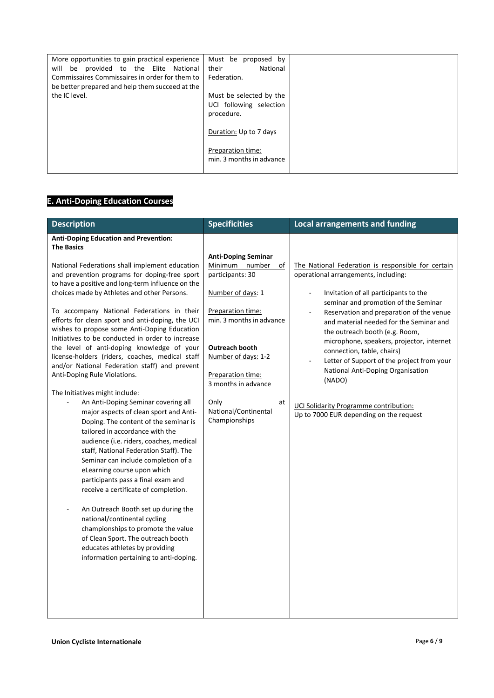| More opportunities to gain practical experience                  | Must be<br>proposed by   |  |
|------------------------------------------------------------------|--------------------------|--|
| provided to the Elite National<br>will<br>be                     | their<br>National        |  |
| Commissaires Commissaires in order for them to                   | Federation.              |  |
| be better prepared and help them succeed at the<br>the IC level. |                          |  |
|                                                                  | Must be selected by the  |  |
|                                                                  | UCI following selection  |  |
|                                                                  | procedure.               |  |
|                                                                  | Duration: Up to 7 days   |  |
|                                                                  | Preparation time:        |  |
|                                                                  | min. 3 months in advance |  |
|                                                                  |                          |  |

# **E. Anti-Doping Education Courses**

| <b>Description</b>                                                                             | <b>Specificities</b>                          | <b>Local arrangements and funding</b>                                           |
|------------------------------------------------------------------------------------------------|-----------------------------------------------|---------------------------------------------------------------------------------|
| <b>Anti-Doping Education and Prevention:</b><br><b>The Basics</b>                              |                                               |                                                                                 |
|                                                                                                | <b>Anti-Doping Seminar</b>                    |                                                                                 |
| National Federations shall implement education                                                 | Minimum number<br>of                          | The National Federation is responsible for certain                              |
| and prevention programs for doping-free sport                                                  | participants: 30                              | operational arrangements, including:                                            |
| to have a positive and long-term influence on the                                              |                                               |                                                                                 |
| choices made by Athletes and other Persons.                                                    | Number of days: 1                             | Invitation of all participants to the                                           |
|                                                                                                |                                               | seminar and promotion of the Seminar                                            |
| To accompany National Federations in their<br>efforts for clean sport and anti-doping, the UCI | Preparation time:<br>min. 3 months in advance | Reservation and preparation of the venue                                        |
| wishes to propose some Anti-Doping Education                                                   |                                               | and material needed for the Seminar and                                         |
| Initiatives to be conducted in order to increase                                               |                                               | the outreach booth (e.g. Room,                                                  |
| the level of anti-doping knowledge of your                                                     | <b>Outreach booth</b>                         | microphone, speakers, projector, internet                                       |
| license-holders (riders, coaches, medical staff                                                | Number of days: 1-2                           | connection, table, chairs)                                                      |
| and/or National Federation staff) and prevent                                                  |                                               | Letter of Support of the project from your<br>National Anti-Doping Organisation |
| Anti-Doping Rule Violations.                                                                   | Preparation time:                             | (NADO)                                                                          |
|                                                                                                | 3 months in advance                           |                                                                                 |
| The Initiatives might include:                                                                 |                                               |                                                                                 |
| An Anti-Doping Seminar covering all                                                            | Only<br>at<br>National/Continental            | <b>UCI Solidarity Programme contribution:</b>                                   |
| major aspects of clean sport and Anti-                                                         | Championships                                 | Up to 7000 EUR depending on the request                                         |
| Doping. The content of the seminar is<br>tailored in accordance with the                       |                                               |                                                                                 |
| audience (i.e. riders, coaches, medical                                                        |                                               |                                                                                 |
| staff, National Federation Staff). The                                                         |                                               |                                                                                 |
| Seminar can include completion of a                                                            |                                               |                                                                                 |
| eLearning course upon which                                                                    |                                               |                                                                                 |
| participants pass a final exam and                                                             |                                               |                                                                                 |
| receive a certificate of completion.                                                           |                                               |                                                                                 |
|                                                                                                |                                               |                                                                                 |
| An Outreach Booth set up during the                                                            |                                               |                                                                                 |
| national/continental cycling                                                                   |                                               |                                                                                 |
| championships to promote the value                                                             |                                               |                                                                                 |
| of Clean Sport. The outreach booth                                                             |                                               |                                                                                 |
| educates athletes by providing                                                                 |                                               |                                                                                 |
| information pertaining to anti-doping.                                                         |                                               |                                                                                 |
|                                                                                                |                                               |                                                                                 |
|                                                                                                |                                               |                                                                                 |
|                                                                                                |                                               |                                                                                 |
|                                                                                                |                                               |                                                                                 |
|                                                                                                |                                               |                                                                                 |
|                                                                                                |                                               |                                                                                 |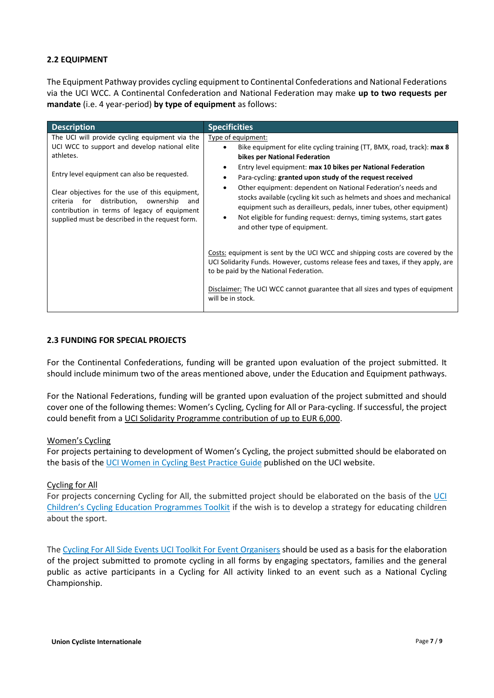## **2.2 EQUIPMENT**

The Equipment Pathway provides cycling equipment to Continental Confederations and National Federations via the UCI WCC. A Continental Confederation and National Federation may make **up to two requests per mandate** (i.e. 4 year-period) **by type of equipment** as follows:

| <b>Description</b>                                                                                                                                                                                                                                                                                                                                                         | <b>Specificities</b>                                                                                                                                                                                                                                                                                                                                                                                                                                                                                                                                                                                                              |
|----------------------------------------------------------------------------------------------------------------------------------------------------------------------------------------------------------------------------------------------------------------------------------------------------------------------------------------------------------------------------|-----------------------------------------------------------------------------------------------------------------------------------------------------------------------------------------------------------------------------------------------------------------------------------------------------------------------------------------------------------------------------------------------------------------------------------------------------------------------------------------------------------------------------------------------------------------------------------------------------------------------------------|
| The UCI will provide cycling equipment via the<br>UCI WCC to support and develop national elite<br>athletes.<br>Entry level equipment can also be requested.<br>Clear objectives for the use of this equipment,<br>for<br>distribution,<br>ownership<br>criteria<br>and<br>contribution in terms of legacy of equipment<br>supplied must be described in the request form. | Type of equipment:<br>Bike equipment for elite cycling training (TT, BMX, road, track): max 8<br>$\bullet$<br>bikes per National Federation<br>Entry level equipment: max 10 bikes per National Federation<br>$\bullet$<br>Para-cycling: granted upon study of the request received<br>Other equipment: dependent on National Federation's needs and<br>$\bullet$<br>stocks available (cycling kit such as helmets and shoes and mechanical<br>equipment such as derailleurs, pedals, inner tubes, other equipment)<br>Not eligible for funding request: dernys, timing systems, start gates<br>٠<br>and other type of equipment. |
|                                                                                                                                                                                                                                                                                                                                                                            | Costs: equipment is sent by the UCI WCC and shipping costs are covered by the<br>UCI Solidarity Funds. However, customs release fees and taxes, if they apply, are<br>to be paid by the National Federation.<br>Disclaimer: The UCI WCC cannot guarantee that all sizes and types of equipment<br>will be in stock.                                                                                                                                                                                                                                                                                                               |

### **2.3 FUNDING FOR SPECIAL PROJECTS**

For the Continental Confederations, funding will be granted upon evaluation of the project submitted. It should include minimum two of the areas mentioned above, under the Education and Equipment pathways.

For the National Federations, funding will be granted upon evaluation of the project submitted and should cover one of the following themes: Women's Cycling, Cycling for All or Para-cycling. If successful, the project could benefit from a UCI Solidarity Programme contribution of up to EUR 6,000.

#### Women's Cycling

For projects pertaining to development of Women's Cycling, the project submitted should be elaborated on the basis of the [UCI Women in Cycling Best Practice Guide](https://www.uci.org/docs/default-source/publications/2019-uci-women-toolkit-eng-web.pdf) published on the UCI website.

### Cycling for All

For projects concerning Cycling for All, the submitted project should be elaborated on the basis of the UCI [Children's Cycling Education Programmes Toolkit](https://www.uci.org/docs/default-source/cycling-for-all/2019-uci-advocacy-toolkit-nk-children-education-eng-web.pdf) if the wish is to develop a strategy for educating children about the sport.

Th[e Cycling For All Side Events UCI Toolkit For Event Organisers](https://www.uci.org/docs/default-source/cycling-for-all/2019-uci-advocacy-toolkit-side-events-web.pdf) should be used as a basis for the elaboration of the project submitted to promote cycling in all forms by engaging spectators, families and the general public as active participants in a Cycling for All activity linked to an event such as a National Cycling Championship.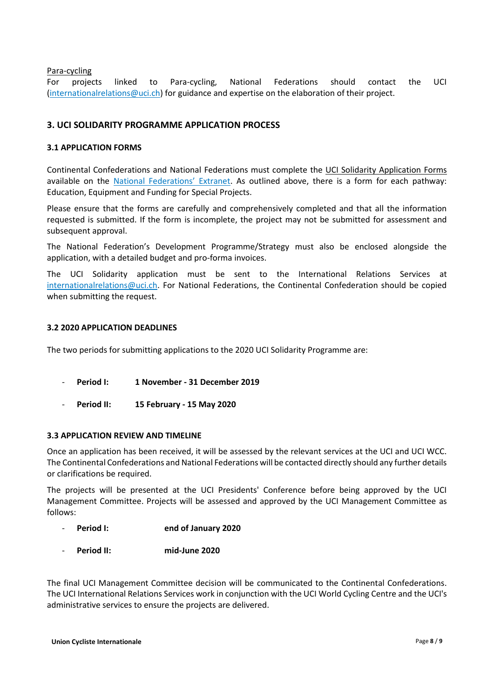Para-cycling

For projects linked to Para-cycling, National Federations should contact the UCI [\(internationalrelations@uci.ch\)](mailto:internationalrelations@uci.ch) for guidance and expertise on the elaboration of their project.

## **3. UCI SOLIDARITY PROGRAMME APPLICATION PROCESS**

#### **3.1 APPLICATION FORMS**

Continental Confederations and National Federations must complete the UCI Solidarity Application Forms available on the [National Federations' Extranet](http://extranet.uci.ch/). As outlined above, there is a form for each pathway: Education, Equipment and Funding for Special Projects.

Please ensure that the forms are carefully and comprehensively completed and that all the information requested is submitted. If the form is incomplete, the project may not be submitted for assessment and subsequent approval.

The National Federation's Development Programme/Strategy must also be enclosed alongside the application, with a detailed budget and pro-forma invoices.

The UCI Solidarity application must be sent to the International Relations Services at [internationalrelations@uci.ch.](mailto:internationalrelations@uci.ch) For National Federations, the Continental Confederation should be copied when submitting the request.

#### **3.2 2020 APPLICATION DEADLINES**

The two periods for submitting applications to the 2020 UCI Solidarity Programme are:

- **Period I: 1 November - 31 December 2019**
- **Period II: 15 February - 15 May 2020**

#### **3.3 APPLICATION REVIEW AND TIMELINE**

Once an application has been received, it will be assessed by the relevant services at the UCI and UCI WCC. The Continental Confederations and National Federations will be contacted directly should any further details or clarifications be required.

The projects will be presented at the UCI Presidents' Conference before being approved by the UCI Management Committee. Projects will be assessed and approved by the UCI Management Committee as follows:

- **Period I: end of January 2020**
- **Period II: mid-June 2020**

The final UCI Management Committee decision will be communicated to the Continental Confederations. The UCI International Relations Services work in conjunction with the UCI World Cycling Centre and the UCI's administrative services to ensure the projects are delivered.